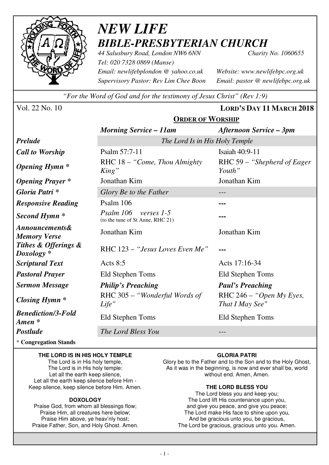

# *NEW LIFE BIBLE-PRESBYTERIAN CHURCH*

**ORDER OF WORSHIP**

*44 Salusbury Road, London NW6 6NN Charity No. 1060655 Tel: 020 7328 0869 (Manse) Email: newlifebplondon @ yahoo.co.uk Website: www.newlifebpc.org.uk Supervisory Pastor: Rev Lim Chee Boon Email: pastor @ newlifebpc.org.uk* 

*"For the Word of God and for the testimony of Jesus Christ" (Rev 1:9)*

Vol. 22 No. 10 **LORD'S DAY 11 MARCH 2018**

|                                                  | $5.001$ $0.0001$                                            |                                               |  |  |
|--------------------------------------------------|-------------------------------------------------------------|-----------------------------------------------|--|--|
|                                                  | <b>Morning Service – 11am</b>                               | <b>Afternoon Service – 3pm</b>                |  |  |
| <b>Prelude</b>                                   | The Lord Is in His Holy Temple                              |                                               |  |  |
| <b>Call to Worship</b>                           | Psalm 57:7-11                                               | Isaiah 40:9-11                                |  |  |
| <b>Opening Hymn</b> *                            | RHC $18 -$ "Come, Thou Almighty"<br>King"                   | RHC 59 - "Shepherd of Eager<br>Youth"         |  |  |
| <b>Opening Prayer</b> *                          | Jonathan Kim                                                | Jonathan Kim                                  |  |  |
| Gloria Patri*                                    | Glory Be to the Father                                      |                                               |  |  |
| <b>Responsive Reading</b>                        | Psalm 106                                                   | ---                                           |  |  |
| Second Hymn <sup>*</sup>                         | Psalm 106<br>verses 1-5<br>(to the tune of St Anne, RHC 21) |                                               |  |  |
| <b>Announcements&amp;</b><br><b>Memory Verse</b> | Jonathan Kim                                                | Jonathan Kim                                  |  |  |
| Tithes & Offerings &<br>$Doxology *$             | RHC 123 – "Jesus Loves Even Me"                             |                                               |  |  |
| <b>Scriptural Text</b>                           | Acts $8:5$                                                  | Acts 17:16-34                                 |  |  |
| <b>Pastoral Prayer</b>                           | Eld Stephen Toms                                            | Eld Stephen Toms                              |  |  |
| <b>Sermon Message</b>                            | <b>Philip's Preaching</b>                                   | <b>Paul's Preaching</b>                       |  |  |
| <b>Closing Hymn</b> *                            | RHC 305 - "Wonderful Words of<br>Life"                      | RHC $246 -$ "Open My Eyes,<br>That I May See" |  |  |
| <b>Benediction/3-Fold</b><br>Amen *              | Eld Stephen Toms                                            | Eld Stephen Toms                              |  |  |
| Postlude                                         | The Lord Bless You                                          |                                               |  |  |

\* **Congregation Stands** 

#### **THE LORD IS IN HIS HOLY TEMPLE**

The Lord is in His holy temple, The Lord is in His holy temple: Let all the earth keep silence, Let all the earth keep silence before Him - Keep silence, keep silence before Him. Amen.

#### **DOXOLOGY**

Praise God, from whom all blessings flow; Praise Him, all creatures here below; Praise Him above, ye heav'nly host; Praise Father, Son, and Holy Ghost. Amen.

#### **GLORIA PATRI**

Glory be to the Father and to the Son and to the Holy Ghost, As it was in the beginning, is now and ever shall be, world without end. Amen, Amen.

#### **THE LORD BLESS YOU**

The Lord bless you and keep you; The Lord lift His countenance upon you, and give you peace, and give you peace; The Lord make His face to shine upon you, And be gracious unto you, be gracious, The Lord be gracious, gracious unto you. Amen.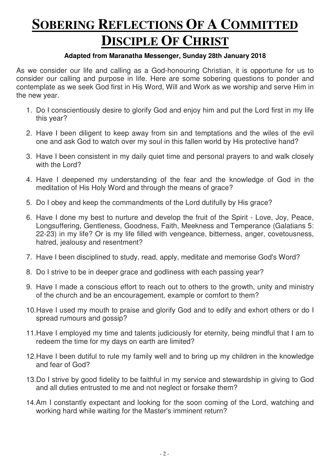# **SOBERING REFLECTIONS OF A COMMITTED DISCIPLE OF CHRIST**

### **Adapted from Maranatha Messenger, Sunday 28th January 2018**

As we consider our life and calling as a God-honouring Christian, it is opportune for us to consider our calling and purpose in life. Here are some sobering questions to ponder and contemplate as we seek God first in His Word, Will and Work as we worship and serve Him in the new year.

- 1. Do I conscientiously desire to glorify God and enjoy him and put the Lord first in my life this year?
- 2. Have I been diligent to keep away from sin and temptations and the wiles of the evil one and ask God to watch over my soul in this fallen world by His protective hand?
- 3. Have I been consistent in my daily quiet time and personal prayers to and walk closely with the Lord?
- 4. Have I deepened my understanding of the fear and the knowledge of God in the meditation of His Holy Word and through the means of grace?
- 5. Do I obey and keep the commandments of the Lord dutifully by His grace?
- 6. Have I done my best to nurture and develop the fruit of the Spirit Love, Joy, Peace, Longsuffering, Gentleness, Goodness, Faith, Meekness and Temperance (Galatians 5: 22-23) in my life? Or is my life filled with vengeance, bitterness, anger, covetousness, hatred, jealousy and resentment?
- 7. Have I been disciplined to study, read, apply, meditate and memorise God's Word?
- 8. Do I strive to be in deeper grace and godliness with each passing year?
- 9. Have I made a conscious effort to reach out to others to the growth, unity and ministry of the church and be an encouragement, example or comfort to them?
- 10.Have I used my mouth to praise and glorify God and to edify and exhort others or do I spread rumours and gossip?
- 11.Have I employed my time and talents judiciously for eternity, being mindful that I am to redeem the time for my days on earth are limited?
- 12.Have I been dutiful to rule my family well and to bring up my children in the knowledge and fear of God?
- 13.Do I strive by good fidelity to be faithful in my service and stewardship in giving to God and all duties entrusted to me and not neglect or forsake them?
- 14. Am I constantly expectant and looking for the soon coming of the Lord, watching and working hard while waiting for the Master's imminent return?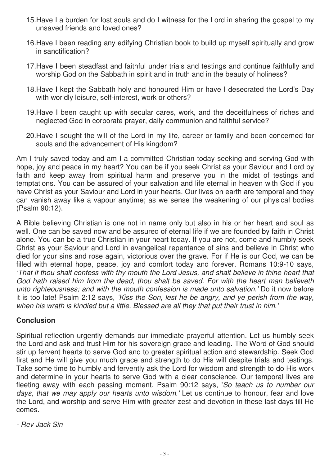- 15.Have I a burden for lost souls and do I witness for the Lord in sharing the gospel to my unsaved friends and loved ones?
- 16.Have I been reading any edifying Christian book to build up myself spiritually and grow in sanctification?
- 17.Have I been steadfast and faithful under trials and testings and continue faithfully and worship God on the Sabbath in spirit and in truth and in the beauty of holiness?
- 18.Have I kept the Sabbath holy and honoured Him or have I desecrated the Lord's Day with worldly leisure, self-interest, work or others?
- 19.Have I been caught up with secular cares, work, and the deceitfulness of riches and neglected God in corporate prayer, daily communion and faithful service?
- 20.Have I sought the will of the Lord in my life, career or family and been concerned for souls and the advancement of His kingdom?

Am I truly saved today and am I a committed Christian today seeking and serving God with hope, joy and peace in my heart? You can be if you seek Christ as your Saviour and Lord by faith and keep away from spiritual harm and preserve you in the midst of testings and temptations. You can be assured of your salvation and life eternal in heaven with God if you have Christ as your Saviour and Lord in your hearts. Our lives on earth are temporal and they can vanish away like a vapour anytime; as we sense the weakening of our physical bodies (Psalm 90:12).

A Bible believing Christian is one not in name only but also in his or her heart and soul as well. One can be saved now and be assured of eternal life if we are founded by faith in Christ alone. You can be a true Christian in your heart today. If you are not, come and humbly seek Christ as your Saviour and Lord in evangelical repentance of sins and believe in Christ who died for your sins and rose again, victorious over the grave. For if He is our God, we can be filled with eternal hope, peace, joy and comfort today and forever. Romans 10:9-10 says, 'That if thou shalt confess with thy mouth the Lord Jesus, and shalt believe in thine heart that God hath raised him from the dead, thou shalt be saved. For with the heart man believeth unto righteousness; and with the mouth confession is made unto salvation.' Do it now before it is too late! Psalm 2:12 says, 'Kiss the Son, lest he be angry, and ye perish from the way, when his wrath is kindled but a little. Blessed are all they that put their trust in him.'

## **Conclusion**

Spiritual reflection urgently demands our immediate prayerful attention. Let us humbly seek the Lord and ask and trust Him for his sovereign grace and leading. The Word of God should stir up fervent hearts to serve God and to greater spiritual action and stewardship. Seek God first and He will give you much grace and strength to do His will despite trials and testings. Take some time to humbly and fervently ask the Lord for wisdom and strength to do His work and determine in your hearts to serve God with a clear conscience. Our temporal lives are fleeting away with each passing moment. Psalm 90:12 says, 'So teach us to number our days, that we may apply our hearts unto wisdom.' Let us continue to honour, fear and love the Lord, and worship and serve Him with greater zest and devotion in these last days till He comes.

- Rev Jack Sin